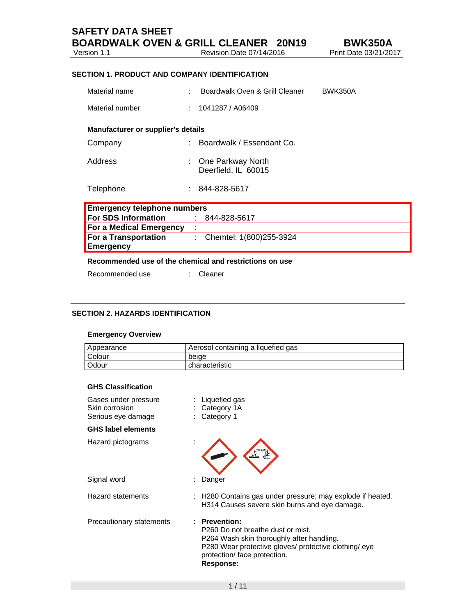| <b>SAFETY DATA SHEET</b>                        |  |
|-------------------------------------------------|--|
| <b>BOARDWALK OVEN &amp; GRILL CLEANER 20N19</b> |  |

Version 1.1 Revision Date 07/14/2016

## **SECTION 1. PRODUCT AND COMPANY IDENTIFICATION**

| Material name                      | ٠  | Boardwalk Oven & Grill Cleaner           | <b>BWK350A</b> |
|------------------------------------|----|------------------------------------------|----------------|
| Material number                    | ٠  | 1041287 / A06409                         |                |
| Manufacturer or supplier's details |    |                                          |                |
| Company                            | t. | Boardwalk / Essendant Co.                |                |
| Address                            |    | One Parkway North<br>Deerfield, IL 60015 |                |
| Telephone                          | t. | 844-828-5617                             |                |
|                                    |    |                                          |                |

| <b>Emergency telephone numbers</b>              |  |                             |  |
|-------------------------------------------------|--|-----------------------------|--|
| <b>For SDS Information</b>                      |  | 844-828-5617                |  |
| For a Medical Emergency                         |  |                             |  |
| <b>For a Transportation</b><br><b>Emergency</b> |  | : Chemtel: $1(800)255-3924$ |  |

# **Recommended use of the chemical and restrictions on use**

Recommended use : Cleaner

# **SECTION 2. HAZARDS IDENTIFICATION**

## **Emergency Overview**

| Appearance | Aerosol containing a liquefied gas |
|------------|------------------------------------|
| Colour     | beige                              |
| Odour      | l characteristic                   |

## **GHS Classification**

| Gases under pressure<br>Skin corrosion<br>Serious eye damage | Liquefied gas<br>Category 1A<br>Category 1                                                                                                                                                                       |
|--------------------------------------------------------------|------------------------------------------------------------------------------------------------------------------------------------------------------------------------------------------------------------------|
| <b>GHS label elements</b>                                    |                                                                                                                                                                                                                  |
| Hazard pictograms                                            |                                                                                                                                                                                                                  |
| Signal word                                                  | Danger                                                                                                                                                                                                           |
| <b>Hazard statements</b>                                     | : H280 Contains gas under pressure; may explode if heated.<br>H314 Causes severe skin burns and eye damage.                                                                                                      |
| Precautionary statements                                     | $\therefore$ Prevention:<br>P260 Do not breathe dust or mist.<br>P264 Wash skin thoroughly after handling.<br>P280 Wear protective gloves/ protective clothing/ eye<br>protection/ face protection.<br>Response: |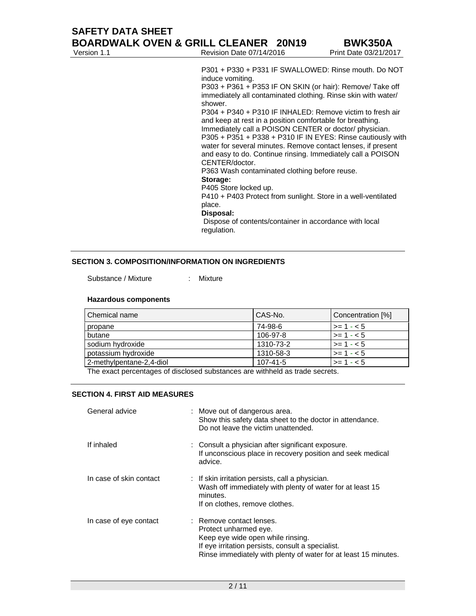Version 1.1 **Revision Date 07/14/2016** Print Date 03/21/2017

P301 + P330 + P331 IF SWALLOWED: Rinse mouth. Do NOT induce vomiting.

P303 + P361 + P353 IF ON SKIN (or hair): Remove/ Take off immediately all contaminated clothing. Rinse skin with water/ shower.

P304 + P340 + P310 IF INHALED: Remove victim to fresh air and keep at rest in a position comfortable for breathing. Immediately call a POISON CENTER or doctor/ physician. P305 + P351 + P338 + P310 IF IN EYES: Rinse cautiously with water for several minutes. Remove contact lenses, if present and easy to do. Continue rinsing. Immediately call a POISON CENTER/doctor.

P363 Wash contaminated clothing before reuse.

### **Storage:**

P405 Store locked up.

P410 + P403 Protect from sunlight. Store in a well-ventilated place.

#### **Disposal:**

 Dispose of contents/container in accordance with local regulation.

### **SECTION 3. COMPOSITION/INFORMATION ON INGREDIENTS**

Substance / Mixture : Mixture

#### **Hazardous components**

| Chemical name            | CAS-No.   | Concentration [%] |
|--------------------------|-----------|-------------------|
| propane                  | 74-98-6   | $>= 1 - 5$        |
| butane                   | 106-97-8  | $>= 1 - 5$        |
| sodium hydroxide         | 1310-73-2 | $>= 1 - 5$        |
| potassium hydroxide      | 1310-58-3 | $>= 1 - 5$        |
| 2-methylpentane-2,4-diol | 107-41-5  | $>= 1 - 5$        |

The exact percentages of disclosed substances are withheld as trade secrets.

#### **SECTION 4. FIRST AID MEASURES**

| General advice          | : Move out of dangerous area.<br>Show this safety data sheet to the doctor in attendance.<br>Do not leave the victim unattended.                                                                               |
|-------------------------|----------------------------------------------------------------------------------------------------------------------------------------------------------------------------------------------------------------|
| If inhaled              | : Consult a physician after significant exposure.<br>If unconscious place in recovery position and seek medical<br>advice.                                                                                     |
| In case of skin contact | : If skin irritation persists, call a physician.<br>Wash off immediately with plenty of water for at least 15<br>minutes.<br>If on clothes, remove clothes.                                                    |
| In case of eye contact  | : Remove contact lenses.<br>Protect unharmed eye.<br>Keep eye wide open while rinsing.<br>If eye irritation persists, consult a specialist.<br>Rinse immediately with plenty of water for at least 15 minutes. |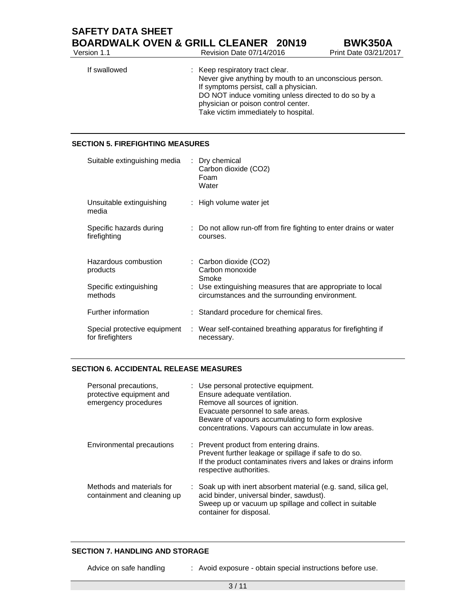| <b>SAFETY DATA SHEET</b> |                                                 |                     |
|--------------------------|-------------------------------------------------|---------------------|
|                          | <b>BOARDWALK OVEN &amp; GRILL CLEANER 20N19</b> | <b>BWK350A</b>      |
| Version 1.1              | Revision Date 07/14/2016                        | Print Date 03/21/20 |

| Version 1.1  | Revision Date 07/14/2016                                                                                                                                                                                                                                                   | Print Date 03/21/2017 |
|--------------|----------------------------------------------------------------------------------------------------------------------------------------------------------------------------------------------------------------------------------------------------------------------------|-----------------------|
| If swallowed | : Keep respiratory tract clear.<br>Never give anything by mouth to an unconscious person.<br>If symptoms persist, call a physician.<br>DO NOT induce vomiting unless directed to do so by a<br>physician or poison control center.<br>Take victim immediately to hospital. |                       |
|              |                                                                                                                                                                                                                                                                            |                       |

### **SECTION 5. FIREFIGHTING MEASURES**

| Suitable extinguishing media                     | : Dry chemical<br>Carbon dioxide (CO2)<br>Foam<br>Water                                                      |
|--------------------------------------------------|--------------------------------------------------------------------------------------------------------------|
| Unsuitable extinguishing<br>media                | : High volume water jet                                                                                      |
| Specific hazards during<br>firefighting          | : Do not allow run-off from fire fighting to enter drains or water<br>courses.                               |
| Hazardous combustion<br>products                 | : Carbon dioxide (CO2)<br>Carbon monoxide<br>Smoke                                                           |
| Specific extinguishing<br>methods                | : Use extinguishing measures that are appropriate to local<br>circumstances and the surrounding environment. |
| Further information                              | : Standard procedure for chemical fires.                                                                     |
| Special protective equipment<br>for firefighters | : Wear self-contained breathing apparatus for firefighting if<br>necessary.                                  |

### **SECTION 6. ACCIDENTAL RELEASE MEASURES**

| Personal precautions,<br>protective equipment and<br>emergency procedures | : Use personal protective equipment.<br>Ensure adequate ventilation.<br>Remove all sources of ignition.<br>Evacuate personnel to safe areas.<br>Beware of vapours accumulating to form explosive<br>concentrations. Vapours can accumulate in low areas. |
|---------------------------------------------------------------------------|----------------------------------------------------------------------------------------------------------------------------------------------------------------------------------------------------------------------------------------------------------|
| Environmental precautions                                                 | : Prevent product from entering drains.<br>Prevent further leakage or spillage if safe to do so.<br>If the product contaminates rivers and lakes or drains inform<br>respective authorities.                                                             |
| Methods and materials for<br>containment and cleaning up                  | : Soak up with inert absorbent material (e.g. sand, silica gel,<br>acid binder, universal binder, sawdust).<br>Sweep up or vacuum up spillage and collect in suitable<br>container for disposal.                                                         |

## **SECTION 7. HANDLING AND STORAGE**

Advice on safe handling : Avoid exposure - obtain special instructions before use.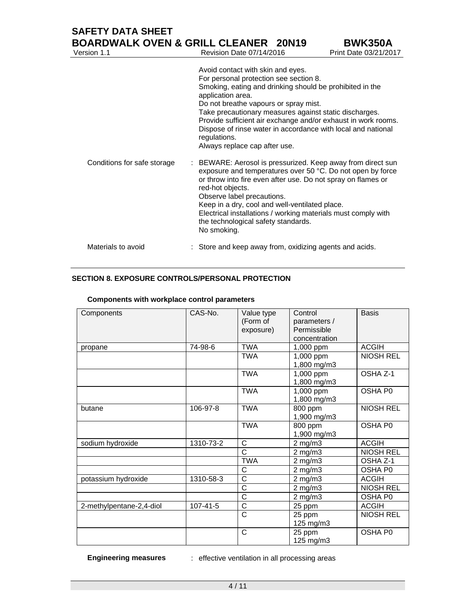| <b>SAFETY DATA SHEET</b><br><b>BOARDWALK OVEN &amp; GRILL CLEANER 20N19</b> |                                                                                                                                                                                                                                                                                                                                                                                                                                                   | <b>BWK350A</b>        |
|-----------------------------------------------------------------------------|---------------------------------------------------------------------------------------------------------------------------------------------------------------------------------------------------------------------------------------------------------------------------------------------------------------------------------------------------------------------------------------------------------------------------------------------------|-----------------------|
| Version 1.1                                                                 | Revision Date 07/14/2016                                                                                                                                                                                                                                                                                                                                                                                                                          | Print Date 03/21/2017 |
|                                                                             | Avoid contact with skin and eyes.<br>For personal protection see section 8.<br>Smoking, eating and drinking should be prohibited in the<br>application area.<br>Do not breathe vapours or spray mist.<br>Take precautionary measures against static discharges.<br>Provide sufficient air exchange and/or exhaust in work rooms.<br>Dispose of rinse water in accordance with local and national<br>regulations.<br>Always replace cap after use. |                       |
| Conditions for safe storage                                                 | : BEWARE: Aerosol is pressurized. Keep away from direct sun<br>exposure and temperatures over 50 °C. Do not open by force<br>or throw into fire even after use. Do not spray on flames or<br>red-hot objects.<br>Observe label precautions.<br>Keep in a dry, cool and well-ventilated place.<br>Electrical installations / working materials must comply with<br>the technological safety standards.<br>No smoking.                              |                       |
| Materials to avoid                                                          | : Store and keep away from, oxidizing agents and acids.                                                                                                                                                                                                                                                                                                                                                                                           |                       |

# **SECTION 8. EXPOSURE CONTROLS/PERSONAL PROTECTION**

| Components               | CAS-No.        | Value type<br>(Form of<br>exposure) | Control<br>parameters /<br>Permissible<br>concentration | <b>Basis</b>     |
|--------------------------|----------------|-------------------------------------|---------------------------------------------------------|------------------|
| propane                  | 74-98-6        | <b>TWA</b>                          | 1,000 ppm                                               | <b>ACGIH</b>     |
|                          |                | <b>TWA</b>                          | 1,000 ppm<br>1,800 mg/m3                                | <b>NIOSH REL</b> |
|                          |                | <b>TWA</b>                          | 1,000 ppm<br>1,800 mg/m3                                | OSHA Z-1         |
|                          |                | <b>TWA</b>                          | 1,000 ppm<br>1,800 mg/m3                                | OSHA P0          |
| butane                   | 106-97-8       | <b>TWA</b>                          | 800 ppm<br>1,900 mg/m3                                  | <b>NIOSH REL</b> |
|                          |                | <b>TWA</b>                          | 800 ppm<br>1,900 mg/m3                                  | OSHA P0          |
| sodium hydroxide         | 1310-73-2      | C                                   | $2$ mg/m $3$                                            | <b>ACGIH</b>     |
|                          |                | $\overline{\text{c}}$               | $2$ mg/m $3$                                            | <b>NIOSH REL</b> |
|                          |                | <b>TWA</b>                          | $2$ mg/m $3$                                            | OSHA Z-1         |
|                          |                | C                                   | $2$ mg/m $3$                                            | OSHA P0          |
| potassium hydroxide      | 1310-58-3      | C                                   | $2$ mg/m $3$                                            | <b>ACGIH</b>     |
|                          |                | C                                   | $2$ mg/m $3$                                            | <b>NIOSH REL</b> |
|                          |                | C                                   | $2$ mg/m $3$                                            | OSHA P0          |
| 2-methylpentane-2,4-diol | $107 - 41 - 5$ | $\overline{\text{c}}$               | 25 ppm                                                  | <b>ACGIH</b>     |
|                          |                | C                                   | 25 ppm<br>125 mg/m3                                     | <b>NIOSH REL</b> |
|                          |                | C                                   | 25 ppm<br>125 mg/m3                                     | OSHA P0          |

# **Components with workplace control parameters**

**Engineering measures** : effective ventilation in all processing areas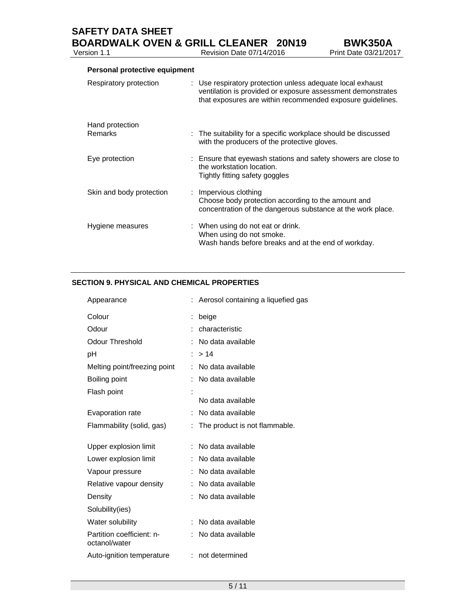**SAFETY DATA SHEET** 

## **Personal protective equipment**

Version 1.1 **Review Area** 

| Respiratory protection     | : Use respiratory protection unless adequate local exhaust<br>ventilation is provided or exposure assessment demonstrates<br>that exposures are within recommended exposure guidelines. |
|----------------------------|-----------------------------------------------------------------------------------------------------------------------------------------------------------------------------------------|
| Hand protection<br>Remarks | : The suitability for a specific workplace should be discussed<br>with the producers of the protective gloves.                                                                          |
| Eye protection             | : Ensure that eyewash stations and safety showers are close to<br>the workstation location.<br>Tightly fitting safety goggles                                                           |
| Skin and body protection   | $:$ Impervious clothing<br>Choose body protection according to the amount and<br>concentration of the dangerous substance at the work place.                                            |
| Hygiene measures           | : When using do not eat or drink.<br>When using do not smoke.<br>Wash hands before breaks and at the end of workday.                                                                    |

## **SECTION 9. PHYSICAL AND CHEMICAL PROPERTIES**

| Appearance                                 |    | Aerosol containing a liquefied gas |
|--------------------------------------------|----|------------------------------------|
| Colour                                     |    | beige                              |
| Odour                                      |    | characteristic                     |
| <b>Odour Threshold</b>                     |    | No data available                  |
| рH                                         |    | >14                                |
| Melting point/freezing point               |    | No data available                  |
| Boiling point                              |    | No data available                  |
| Flash point                                |    |                                    |
|                                            |    | No data available                  |
| Evaporation rate                           |    | No data available                  |
| Flammability (solid, gas)                  |    | The product is not flammable.      |
|                                            |    |                                    |
| Upper explosion limit                      |    | No data available                  |
| Lower explosion limit                      |    | No data available                  |
| Vapour pressure                            |    | No data available                  |
| Relative vapour density                    |    | No data available                  |
| Density                                    |    | No data available                  |
| Solubility(ies)                            |    |                                    |
| Water solubility                           |    | No data available                  |
| Partition coefficient: n-<br>octanol/water |    | No data available                  |
| Auto-ignition temperature                  | t. | not determined                     |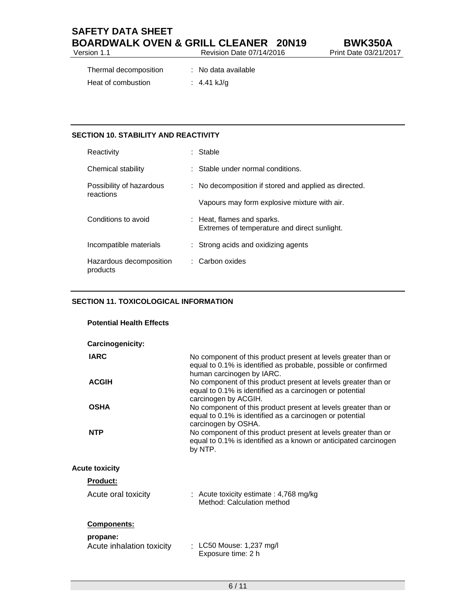| <b>SAFETY DATA SHEET</b>                        |                          |
|-------------------------------------------------|--------------------------|
| <b>BOARDWALK OVEN &amp; GRILL CLEANER 20N19</b> |                          |
| Version 1.1                                     | Revision Date 07/14/2016 |

| Thermal decomposition | : No data available |
|-----------------------|---------------------|
| Heat of combustion    | : 4.41 kJ/g         |

## **SECTION 10. STABILITY AND REACTIVITY**

| Reactivity                            | Stable                                                                     |
|---------------------------------------|----------------------------------------------------------------------------|
| Chemical stability                    | : Stable under normal conditions.                                          |
| Possibility of hazardous<br>reactions | : No decomposition if stored and applied as directed.                      |
|                                       | Vapours may form explosive mixture with air.                               |
| Conditions to avoid                   | : Heat, flames and sparks.<br>Extremes of temperature and direct sunlight. |
| Incompatible materials                | : Strong acids and oxidizing agents                                        |
| Hazardous decomposition<br>products   | : Carbon oxides                                                            |

## **SECTION 11. TOXICOLOGICAL INFORMATION**

| <b>Potential Health Effects</b>       |                                                                                                                                                               |
|---------------------------------------|---------------------------------------------------------------------------------------------------------------------------------------------------------------|
| Carcinogenicity:                      |                                                                                                                                                               |
| <b>IARC</b>                           | No component of this product present at levels greater than or<br>equal to 0.1% is identified as probable, possible or confirmed<br>human carcinogen by IARC. |
| <b>ACGIH</b>                          | No component of this product present at levels greater than or<br>equal to 0.1% is identified as a carcinogen or potential<br>carcinogen by ACGIH.            |
| <b>OSHA</b>                           | No component of this product present at levels greater than or<br>equal to 0.1% is identified as a carcinogen or potential<br>carcinogen by OSHA.             |
| <b>NTP</b>                            | No component of this product present at levels greater than or<br>equal to 0.1% is identified as a known or anticipated carcinogen<br>by NTP.                 |
| <b>Acute toxicity</b>                 |                                                                                                                                                               |
| <b>Product:</b>                       |                                                                                                                                                               |
| Acute oral toxicity                   | : Acute toxicity estimate : 4,768 mg/kg<br>Method: Calculation method                                                                                         |
| <b>Components:</b>                    |                                                                                                                                                               |
| propane:<br>Acute inhalation toxicity | : LC50 Mouse: 1,237 mg/l<br>Exposure time: 2 h                                                                                                                |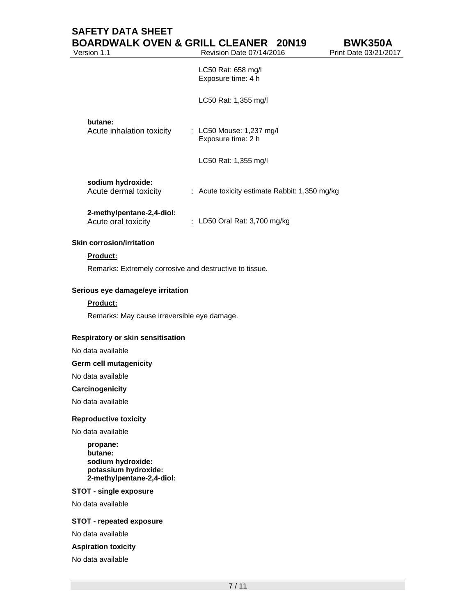# **SAFETY DATA SHEET BOARDWALK OVEN & GRILL CLEANER 20N19 BWK350A**

Version 1.1 Revision Date 07/14/2016 Print Date 03/21/2017

 LC50 Rat: 658 mg/l Exposure time: 4 h

LC50 Rat: 1,355 mg/l

### **butane:**

| Acute inhalation toxicity | $\therefore$ LC50 Mouse: 1,237 mg/l |
|---------------------------|-------------------------------------|
|                           | Exposure time: 2 h                  |

LC50 Rat: 1,355 mg/l

#### **sodium hydroxide:**  Acute dermal to:

| xicity |  | Acute toxicity estimate Rabbit: 1,350 mg/kg |
|--------|--|---------------------------------------------|
|--------|--|---------------------------------------------|

### **2-methylpentane-2,4-diol:**

| Acute oral toxicity | LD50 Oral Rat: 3,700 mg/kg |
|---------------------|----------------------------|
|---------------------|----------------------------|

#### **Skin corrosion/irritation**

### **Product:**

Remarks: Extremely corrosive and destructive to tissue.

### **Serious eye damage/eye irritation**

#### **Product:**

Remarks: May cause irreversible eye damage.

### **Respiratory or skin sensitisation**

No data available

### **Germ cell mutagenicity**

No data available

#### **Carcinogenicity**

No data available

#### **Reproductive toxicity**

No data available

**propane: butane: sodium hydroxide: potassium hydroxide: 2-methylpentane-2,4-diol:** 

#### **STOT - single exposure**

No data available

#### **STOT - repeated exposure**

No data available

#### **Aspiration toxicity**

No data available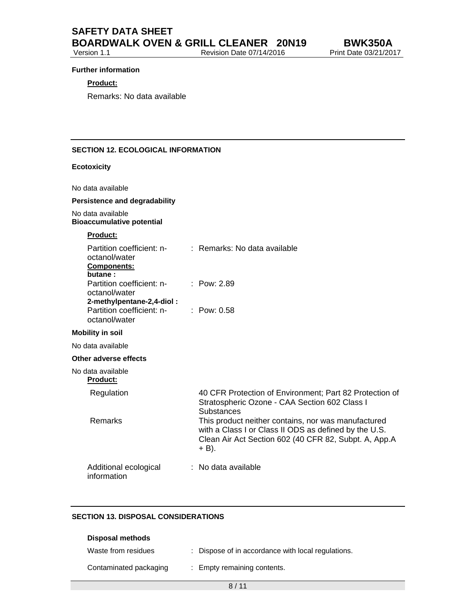#### **Further information**

### **Product:**

Remarks: No data available

### **SECTION 12. ECOLOGICAL INFORMATION**

### **Ecotoxicity**

No data available

### **Persistence and degradability**

No data available **Bioaccumulative potential** 

# **Product:**

| Partition coefficient: n-<br>octanol/water<br><b>Components:</b><br>butane: | : Remarks: No data available                                                                                                                                                   |
|-----------------------------------------------------------------------------|--------------------------------------------------------------------------------------------------------------------------------------------------------------------------------|
| Partition coefficient: n-<br>octanol/water<br>2-methylpentane-2,4-diol:     | : Pow: $2.89$                                                                                                                                                                  |
| Partition coefficient: n-<br>octanol/water                                  | : $Pow: 0.58$                                                                                                                                                                  |
| <b>Mobility in soil</b>                                                     |                                                                                                                                                                                |
| No data available                                                           |                                                                                                                                                                                |
| Other adverse effects                                                       |                                                                                                                                                                                |
| No data available<br><b>Product:</b>                                        |                                                                                                                                                                                |
| Regulation                                                                  | 40 CFR Protection of Environment; Part 82 Protection of<br>Stratospheric Ozone - CAA Section 602 Class I<br>Substances                                                         |
| Remarks                                                                     | This product neither contains, nor was manufactured<br>with a Class I or Class II ODS as defined by the U.S.<br>Clean Air Act Section 602 (40 CFR 82, Subpt. A, App.A<br>+ B). |
| Additional ecological<br>information                                        | : No data available                                                                                                                                                            |

#### **SECTION 13. DISPOSAL CONSIDERATIONS**

| Disposal methods       |                                                    |
|------------------------|----------------------------------------------------|
| Waste from residues    | : Dispose of in accordance with local regulations. |
| Contaminated packaging | : Empty remaining contents.                        |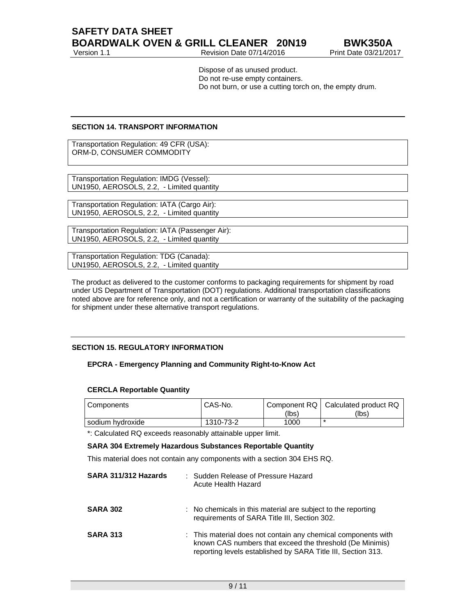Version 1.1 **Revision Date 07/14/2016** Print Date 03/21/2017

Dispose of as unused product. Do not re-use empty containers. Do not burn, or use a cutting torch on, the empty drum.

### **SECTION 14. TRANSPORT INFORMATION**

Transportation Regulation: 49 CFR (USA): ORM-D, CONSUMER COMMODITY

Transportation Regulation: IMDG (Vessel): UN1950, AEROSOLS, 2.2, - Limited quantity

Transportation Regulation: IATA (Cargo Air): UN1950, AEROSOLS, 2.2, - Limited quantity

Transportation Regulation: IATA (Passenger Air): UN1950, AEROSOLS, 2.2, - Limited quantity

Transportation Regulation: TDG (Canada): UN1950, AEROSOLS, 2.2, - Limited quantity

The product as delivered to the customer conforms to packaging requirements for shipment by road under US Department of Transportation (DOT) regulations. Additional transportation classifications noted above are for reference only, and not a certification or warranty of the suitability of the packaging for shipment under these alternative transport regulations.

### **SECTION 15. REGULATORY INFORMATION**

### **EPCRA - Emergency Planning and Community Right-to-Know Act**

#### **CERCLA Reportable Quantity**

| l Components     | CAS-No.   | (lbs) | Component RQ   Calculated product RQ<br>(lbs) |
|------------------|-----------|-------|-----------------------------------------------|
| sodium hydroxide | 1310-73-2 | 1000  |                                               |

\*: Calculated RQ exceeds reasonably attainable upper limit.

### **SARA 304 Extremely Hazardous Substances Reportable Quantity**

This material does not contain any components with a section 304 EHS RQ.

| SARA 311/312 Hazards | : Sudden Release of Pressure Hazard<br>Acute Health Hazard                                                                                                                                |
|----------------------|-------------------------------------------------------------------------------------------------------------------------------------------------------------------------------------------|
| <b>SARA 302</b>      | : No chemicals in this material are subject to the reporting<br>requirements of SARA Title III, Section 302.                                                                              |
| <b>SARA 313</b>      | : This material does not contain any chemical components with<br>known CAS numbers that exceed the threshold (De Minimis)<br>reporting levels established by SARA Title III, Section 313. |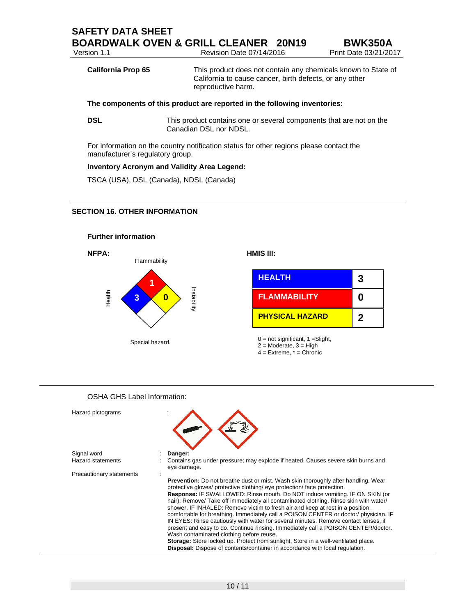| Version 1.1               | Revision Date 07/14/2016                                                                                                                       | Print Date 03/21/2017 |
|---------------------------|------------------------------------------------------------------------------------------------------------------------------------------------|-----------------------|
| <b>California Prop 65</b> | This product does not contain any chemicals known to State of<br>California to cause cancer, birth defects, or any other<br>reproductive harm. |                       |

**DSL** This product contains one or several components that are not on the Canadian DSL nor NDSL.

For information on the country notification status for other regions please contact the manufacturer's regulatory group.

### **Inventory Acronym and Validity Area Legend:**

TSCA (USA), DSL (Canada), NDSL (Canada)

### **SECTION 16. OTHER INFORMATION**





| <b>HEALTH</b>          | 3 |
|------------------------|---|
| <b>FLAMMABILITY</b>    | Ω |
| <b>PHYSICAL HAZARD</b> | 2 |

 $0 = not$  significant,  $1 =$ Slight,

 $2 = \text{Modern}$ ,  $3 = \text{High}$ 

 $4 =$  Extreme,  $* =$  Chronic